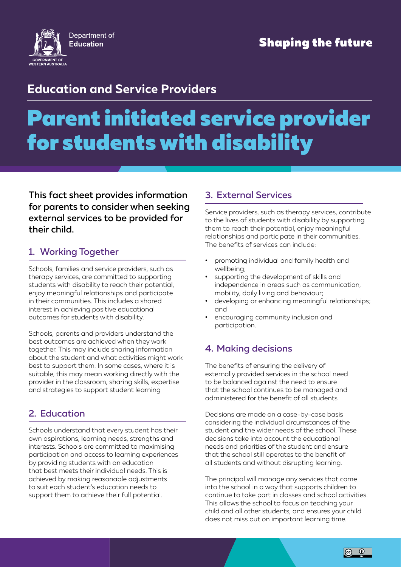

### **Education and Service Providers**

# Parent initiated service provider for students with disability

This fact sheet provides information for parents to consider when seeking external services to be provided for their child.

#### 1. Working Together

Schools, families and service providers, such as therapy services, are committed to supporting students with disability to reach their potential, enjoy meaningful relationships and participate in their communities. This includes a shared interest in achieving positive educational outcomes for students with disability.

Schools, parents and providers understand the best outcomes are achieved when they work together. This may include sharing information about the student and what activities might work best to support them. In some cases, where it is suitable, this may mean working directly with the provider in the classroom, sharing skills, expertise and strategies to support student learning

#### 2. Education

Schools understand that every student has their own aspirations, learning needs, strengths and interests. Schools are committed to maximising participation and access to learning experiences by providing students with an education that best meets their individual needs. This is achieved by making reasonable adjustments to suit each student's education needs to support them to achieve their full potential.

#### 3. External Services

Service providers, such as therapy services, contribute to the lives of students with disability by supporting them to reach their potential, enjoy meaningful relationships and participate in their communities. The benefits of services can include:

- promoting individual and family health and wellbeing;
- supporting the development of skills and independence in areas such as communication, mobility, daily living and behaviour;
- developing or enhancing meaningful relationships; and
- encouraging community inclusion and participation.

#### 4. Making decisions

The benefits of ensuring the delivery of externally provided services in the school need to be balanced against the need to ensure that the school continues to be managed and administered for the benefit of all students.

Decisions are made on a case-by-case basis considering the individual circumstances of the student and the wider needs of the school. These decisions take into account the educational needs and priorities of the student and ensure that the school still operates to the benefit of all students and without disrupting learning.

The principal will manage any services that come into the school in a way that supports children to continue to take part in classes and school activities. This allows the school to focus on teaching your child and all other students, and ensures your child does not miss out on important learning time.